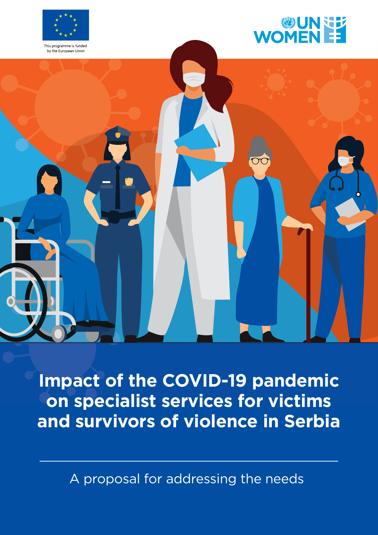



by the European Union



**Impact of the COVID-19 pandemic on specialist services for victims and survivors of violence in Serbia**

A proposal for addressing the needs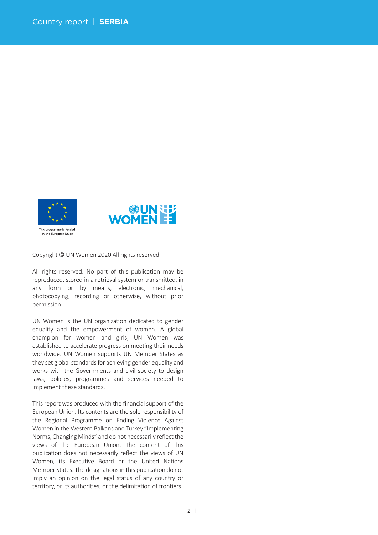



Copyright © UN Women 2020 All rights reserved.

All rights reserved. No part of this publication may be reproduced, stored in a retrieval system or transmitted, in any form or by means, electronic, mechanical, photocopying, recording or otherwise, without prior permission.

UN Women is the UN organization dedicated to gender equality and the empowerment of women. A global champion for women and girls, UN Women was established to accelerate progress on meeting their needs worldwide. UN Women supports UN Member States as they set global standards for achieving gender equality and works with the Governments and civil society to design laws, policies, programmes and services needed to implement these standards.

This report was produced with the financial support of the European Union. Its contents are the sole responsibility of the Regional Programme on Ending Violence Against Women in the Western Balkans and Turkey "Implementing Norms, Changing Minds" and do not necessarily reflect the views of the European Union. The content of this publication does not necessarily reflect the views of UN Women, its Executive Board or the United Nations Member States. The designations in this publication do not imply an opinion on the legal status of any country or territory, or its authorities, or the delimitation of frontiers.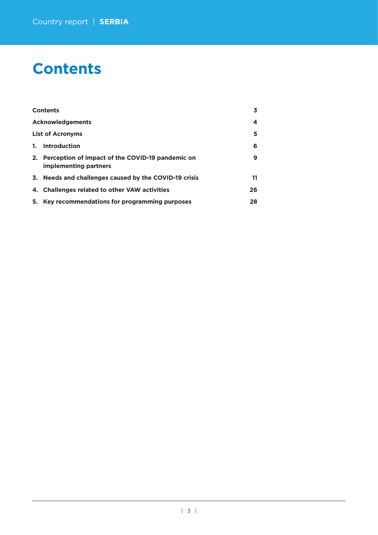# **Contents**

|    | <b>Contents</b>                                                              | 3  |
|----|------------------------------------------------------------------------------|----|
|    | <b>Acknowledgements</b>                                                      | 4  |
|    | <b>List of Acronyms</b>                                                      | 5  |
| 1. | Introduction                                                                 | 6  |
|    | 2. Perception of impact of the COVID-19 pandemic on<br>implementing partners | 9  |
|    | 3. Needs and challenges caused by the COVID-19 crisis                        | 11 |
|    | 4. Challenges related to other VAW activities                                | 26 |
|    | 5. Key recommendations for programming purposes                              | 28 |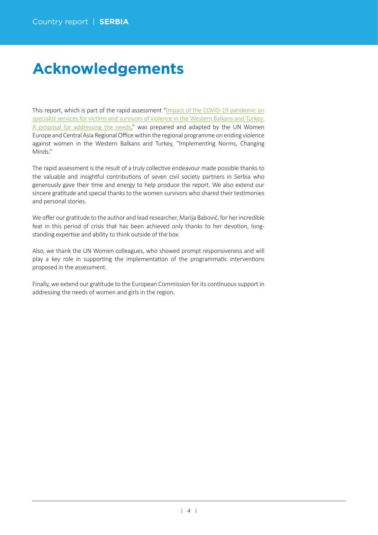# **Acknowledgements**

This report, which is part of the rapid assessment"[Impact of the COVID-19 pandemic on](https://eca.unwomen.org/en/digital-library/publications/2020/05/impact-of-the-covid-19-pandemic-on-specialist-services-for-victims-and-survivors-of-violence) specialist services for victims and survivors of violence in the Western Balkans and Turkey: [A proposal for addressing the needs,](https://eca.unwomen.org/en/digital-library/publications/2020/05/impact-of-the-covid-19-pandemic-on-specialist-services-for-victims-and-survivors-of-violence)" was prepared and adapted by the UN Women Europe and Central Asia Regional Office within the regional programme on ending violence against women in the Western Balkans and Turkey, "Implementing Norms, Changing Minds."

The rapid assessment is the result of a truly collective endeavour made possible thanks to the valuable and insightful contributions of seven civil society partners in Serbia who generously gave their time and energy to help produce the report. We also extend our sincere gratitude and special thanks to the women survivors who shared their testimonies and personal stories.

We offer our gratitude to the author and lead researcher, Marija Babović, for her incredible feat in this period of crisis that has been achieved only thanks to her devotion, longstanding expertise and ability to think outside of the box.

Also, we thank the UN Women colleagues, who showed prompt responsiveness and will play a key role in supporting the implementation of the programmatic interventions proposed in the assessment.

Finally, we extend our gratitude to the European Commission for its continuous support in addressing the needs of women and girls in the region.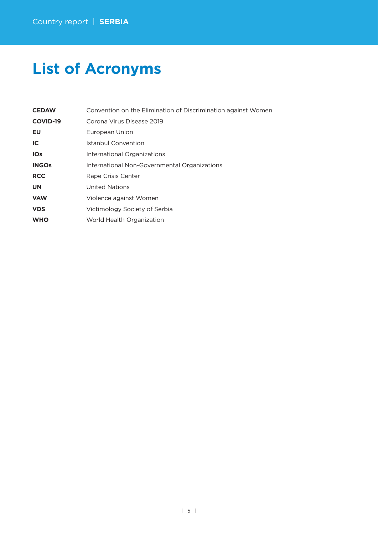# **List of Acronyms**

| <b>CEDAW</b>    | Convention on the Elimination of Discrimination against Women |
|-----------------|---------------------------------------------------------------|
| <b>COVID-19</b> | Corona Virus Disease 2019                                     |
| EU              | European Union                                                |
| IC              | Istanbul Convention                                           |
| <b>IOs</b>      | International Organizations                                   |
| <b>INGOs</b>    | International Non-Governmental Organizations                  |
| <b>RCC</b>      | Rape Crisis Center                                            |
| <b>UN</b>       | <b>United Nations</b>                                         |
| <b>VAW</b>      | Violence against Women                                        |
| <b>VDS</b>      | Victimology Society of Serbia                                 |
| <b>WHO</b>      | World Health Organization                                     |
|                 |                                                               |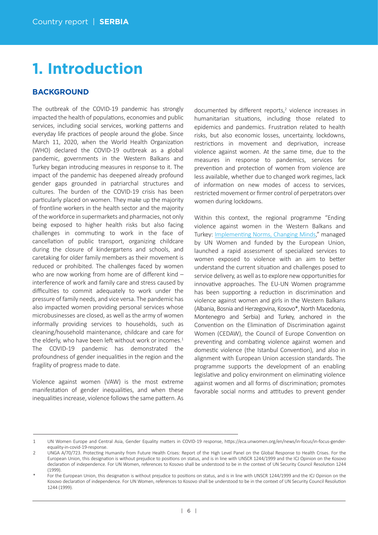# **1. Introduction**

# **BACKGROUND**

The outbreak of the COVID-19 pandemic has strongly impacted the health of populations, economies and public services, including social services, working patterns and everyday life practices of people around the globe. Since March 11, 2020, when the World Health Organization (WHO) declared the COVID-19 outbreak as a global pandemic, governments in the Western Balkans and Turkey began introducing measures in response to it. The impact of the pandemic has deepened already profound gender gaps grounded in patriarchal structures and cultures. The burden of the COVID-19 crisis has been particularly placed on women. They make up the majority of frontline workers in the health sector and the majority of the workforce in supermarkets and pharmacies, not only being exposed to higher health risks but also facing challenges in commuting to work in the face of cancellation of public transport, organizing childcare during the closure of kindergartens and schools, and caretaking for older family members as their movement is reduced or prohibited. The challenges faced by women who are now working from home are of different kind interference of work and family care and stress caused by difficulties to commit adequately to work under the pressure of family needs, and vice versa. The pandemic has also impacted women providing personal services whose microbusinesses are closed, as well as the army of women informally providing services to households, such as cleaning/household maintenance, childcare and care for the elderly, who have been left without work or incomes. $1$ The COVID-19 pandemic has demonstrated the profoundness of gender inequalities in the region and the fragility of progress made to date.

Violence against women (VAW) is the most extreme manifestation of gender inequalities, and when these inequalities increase, violence follows the same pattern. As

documented by different reports,<sup>2</sup> violence increases in humanitarian situations, including those related to epidemics and pandemics. Frustration related to health risks, but also economic losses, uncertainty, lockdowns, restrictions in movement and deprivation, increase violence against women. At the same time, due to the measures in response to pandemics, services for prevention and protection of women from violence are less available, whether due to changed work regimes, lack of information on new modes of access to services. restricted movement or firmer control of perpetrators over women during lockdowns.

Within this context, the regional programme "Ending violence against women in the Western Balkans and Turkey: Implementing Norms, Changing Minds," managed by UN Women and funded by the European Union, launched a rapid assessment of specialized services to women exposed to violence with an aim to better understand the current situation and challenges posed to service delivery, as well as to explore new opportunities for innovative approaches. The EU-UN Women programme has been supporting a reduction in discrimination and violence against women and girls in the Western Balkans (Albania, Bosnia and Herzegovina, Kosovo\*, North Macedonia, Montenegro and Serbia) and Turkey, anchored in the Convention on the Elimination of Discrimination against Women (CEDAW), the Council of Europe Convention on preventing and combating violence against women and domestic violence (the Istanbul Convention), and also in alignment with European Union accession standards. The programme supports the development of an enabling legislative and policy environment on eliminating violence against women and all forms of discrimination; promotes favorable social norms and attitudes to prevent gender

<sup>1</sup> UN Women Europe and Central Asia, Gender Equality matters in COVID-19 response, https://eca.unwomen.org/en/news/in-focus/in-focus-genderequality-in-covid-19-response.

<sup>2</sup> UNGA A/70/723. Protecting Humanity from Future Health Crises: Report of the High Level Panel on the Global Response to Health Crises. For the European Union, this designation is without prejudice to positions on status, and is in line with UNSCR 1244/1999 and the ICJ Opinion on the Kosovo declaration of independence. For UN Women, references to Kosovo shall be understood to be in the context of UN Security Council Resolution 1244 (1999).

For the European Union, this designation is without prejudice to positions on status, and is in line with UNSCR 1244/1999 and the ICJ Opinion on the Kosovo declaration of independence. For UN Women, references to Kosovo shall be understood to be in the context of UN Security Council Resolution 1244 (1999).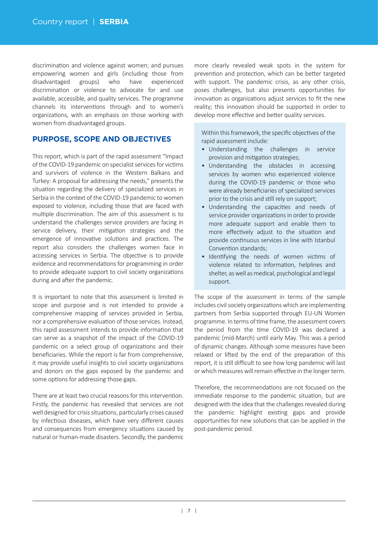discrimination and violence against women; and pursues empowering women and girls (including those from disadvantaged groups) who have experienced discrimination or violence to advocate for and use available, accessible, and quality services. The programme channels its interventions through and to women's organizations, with an emphasis on those working with women from disadvantaged groups.

# **PURPOSE, SCOPE AND OBJECTIVES**

This report, which is part of the rapid assessment "Impact of the COVID-19 pandemic on specialist services for victims and survivors of violence in the Western Balkans and Turkey: A proposal for addressing the needs," presents the situation regarding the delivery of specialized services in Serbia in the context of the COVID-19 pandemic to women exposed to violence, including those that are faced with multiple discrimination. The aim of this assessment is to understand the challenges service providers are facing in service delivery, their mitigation strategies and the emergence of innovative solutions and practices. The report also considers the challenges women face in accessing services in Serbia. The objective is to provide evidence and recommendations for programming in order to provide adequate support to civil society organizations during and after the pandemic.

It is important to note that this assessment is limited in scope and purpose and is not intended to provide a comprehensive mapping of services provided in Serbia, nor a comprehensive evaluation of those services. Instead, this rapid assessment intends to provide information that can serve as a snapshot of the impact of the COVID-19 pandemic on a select group of organizations and their beneficiaries. While the report is far from comprehensive, it may provide useful insights to civil society organizations and donors on the gaps exposed by the pandemic and some options for addressing those gaps.

There are at least two crucial reasons for this intervention. Firstly, the pandemic has revealed that services are not well designed for crisis situations, particularly crises caused by infectious diseases, which have very different causes and consequences from emergency situations caused by natural or human-made disasters. Secondly, the pandemic

more clearly revealed weak spots in the system for prevention and protection, which can be better targeted with support. The pandemic crisis, as any other crisis, poses challenges, but also presents opportunities for innovation as organizations adjust services to fit the new reality; this innovation should be supported in order to develop more effective and better quality services.

Within this framework, the specific objectives of the rapid assessment include:

- Understanding the challenges in service provision and mitigation strategies;
- Understanding the obstacles in accessing services by women who experienced violence during the COVID-19 pandemic or those who were already beneficiaries of specialized services prior to the crisis and still rely on support;
- Understanding the capaci�es and needs of service provider organizations in order to provide more adequate support and enable them to more effectively adjust to the situation and provide continuous services in line with Istanbul Convention standards:
- Identifying the needs of women victims of violence related to information, helplines and shelter, as well as medical, psychological and legal support.

The scope of the assessment in terms of the sample includes civil society organizations which are implementing partners from Serbia supported through EU-UN Women programme. In terms of time frame, the assessment covers the period from the time COVID-19 was declared a pandemic (mid-March) until early May. This was a period of dynamic changes. Although some measures have been relaxed or lifted by the end of the preparation of this report, it is still difficult to see how long pandemic will last or which measures will remain effective in the longer term.

Therefore, the recommendations are not focused on the immediate response to the pandemic situation, but are designed with the idea that the challenges revealed during the pandemic highlight existing gaps and provide opportunities for new solutions that can be applied in the post-pandemic period.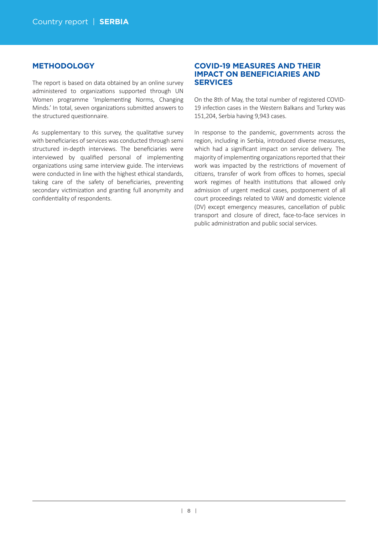# **METHODOLOGY**

The report is based on data obtained by an online survey administered to organizations supported through UN Women programme 'Implementing Norms, Changing Minds.' In total, seven organizations submitted answers to the structured questionnaire.

As supplementary to this survey, the qualitative survey with beneficiaries of services was conducted through semi structured in-depth interviews. The beneficiaries were interviewed by qualified personal of implementing organizations using same interview guide. The interviews were conducted in line with the highest ethical standards, taking care of the safety of beneficiaries, preventing secondary victimization and granting full anonymity and confidentiality of respondents.

# **COVID-19 MEASURES AND THEIR IMPACT ON BENEFICIARIES AND SERVICES**

On the 8th of May, the total number of registered COVID-19 infection cases in the Western Balkans and Turkey was 151,204, Serbia having 9,943 cases.

In response to the pandemic, governments across the region, including in Serbia, introduced diverse measures, which had a significant impact on service delivery. The majority of implementing organizations reported that their work was impacted by the restrictions of movement of citizens, transfer of work from offices to homes, special work regimes of health institutions that allowed only admission of urgent medical cases, postponement of all court proceedings related to VAW and domestic violence (DV) except emergency measures, cancellation of public transport and closure of direct, face-to-face services in public administration and public social services.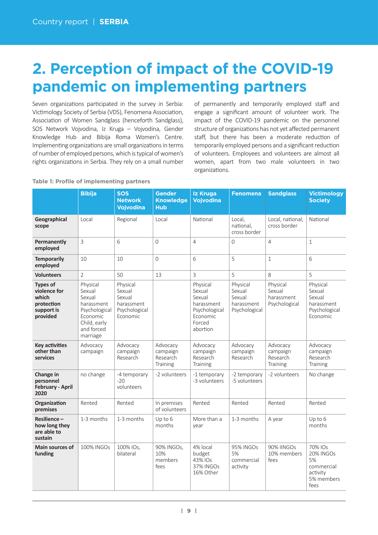# **2. Perception of impact of the COVID-19 pandemic on implementing partners**

Seven organizations participated in the survey in Serbia: Victimology Society of Serbia (VDS), Fenomena Association, Association of Women Sandglass (henceforth Sandglass), SOS Network Vojvodina, Iz Kruga – Vojvodina, Gender Knowledge Hub and Bibija Roma Women's Centre. Implementing organizations are small organizations in terms of number of employed persons, which is typical of women's rights organizations in Serbia. They rely on a small number

of permanently and temporarily employed staff and engage a significant amount of volunteer work. The impact of the COVID-19 pandemic on the personnel structure of organizations has not yet affected permanent staff, but there has been a moderate reduction of temporarily employed persons and a significant reduction of volunteers. Employees and volunteers are almost all women, apart from two male volunteers in two organizations.

|                                                                                  | <b>Bibija</b>                                                                                                     | <b>SOS</b><br><b>Network</b><br><b>Vojvodina</b>                        | <b>Gender</b><br><b>Knowledge</b><br><b>Hub</b> | <b>Iz Kruga</b><br><b>Vojvodina</b>                                                           | <b>Fenomena</b>                                             | <b>Sandglass</b>                                  | <b>Victimology</b><br><b>Society</b>                                       |
|----------------------------------------------------------------------------------|-------------------------------------------------------------------------------------------------------------------|-------------------------------------------------------------------------|-------------------------------------------------|-----------------------------------------------------------------------------------------------|-------------------------------------------------------------|---------------------------------------------------|----------------------------------------------------------------------------|
| Geographical<br>scope                                                            | Local                                                                                                             | Regional                                                                | Local                                           | National                                                                                      | Local,<br>national.<br>cross border                         | Local, national,<br>cross border                  | National                                                                   |
| Permanently<br>employed                                                          | $\overline{3}$                                                                                                    | 6                                                                       | $\Omega$                                        | $\overline{4}$                                                                                | $\overline{0}$                                              | $\overline{4}$                                    | $\mathbf{1}$                                                               |
| <b>Temporarily</b><br>employed                                                   | 10                                                                                                                | 10                                                                      | $\overline{0}$                                  | 6                                                                                             | 5                                                           | $\mathbf 1$                                       | 6                                                                          |
| <b>Volunteers</b>                                                                | $\overline{2}$                                                                                                    | 50                                                                      | 13                                              | 3                                                                                             | 5                                                           | 8                                                 | 5                                                                          |
| <b>Types of</b><br>violence for<br>which<br>protection<br>support is<br>provided | Physical<br>Sexual<br>Sexual<br>harassment<br>Psychological<br>Economic<br>Child, early<br>and forced<br>marriage | Physical<br>Sexual<br>Sexual<br>harassment<br>Psychological<br>Economic |                                                 | Physical<br>Sexual<br>Sexual<br>harassment<br>Psychological<br>Economic<br>Forced<br>abortion | Physical<br>Sexual<br>Sexual<br>harassment<br>Psychological | Physical<br>Sexual<br>harassment<br>Psychological | Physical<br>Sexual<br>Sexual<br>harassment<br>Psychological<br>Economic    |
| <b>Key activities</b><br>other than<br>services                                  | Advocacy<br>campaign                                                                                              | Advocacy<br>campaign<br>Research                                        | Advocacy<br>campaign<br>Research<br>Training    | Advocacy<br>campaign<br>Research<br>Training                                                  | Advocacy<br>campaign<br>Research                            | Advocacy<br>campaign<br>Research<br>Training      | Advocacy<br>campaign<br>Research<br>Training                               |
| Change in<br>personnel<br><b>February - April</b><br>2020                        | no change                                                                                                         | -4 temporary<br>$-20$<br>volunteers                                     | -2 volunteers                                   | -1 temporary<br>-3 volunteers                                                                 | -2 temporary<br>-5 volunteers                               | -2 volunteers                                     | No change                                                                  |
| Organization<br>premises                                                         | Rented                                                                                                            | Rented                                                                  | In premises<br>of volunteers                    | Rented                                                                                        | Rented                                                      | Rented                                            | Rented                                                                     |
| Resilience-<br>how long they<br>are able to<br>sustain                           | 1-3 months                                                                                                        | 1-3 months                                                              | Up to 6<br>months                               | More than a<br>year                                                                           | 1-3 months                                                  | A year                                            | Up to 6<br>months                                                          |
| <b>Main sources of</b><br>funding                                                | 100% INGOs                                                                                                        | 100% IOs,<br>bilateral                                                  | 90% INGOs,<br>10%<br>members<br>fees            | 4% local<br>budget<br>43% IOs<br>37% INGOs<br>16% Other                                       | 95% INGOs<br>5%<br>commercial<br>activity                   | 90% IINGOs<br>10% members<br>fees                 | 70% IOs<br>20% INGOs<br>5%<br>commercial<br>activity<br>5% members<br>fees |

#### **Table 1: Profile of implementing partners**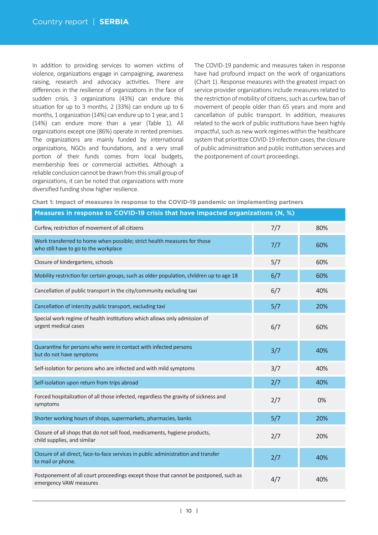In addition to providing services to women victims of violence, organizations engage in campaigning, awareness raising, research and advocacy activities. There are differences in the resilience of organizations in the face of sudden crisis. 3 organizations (43%) can endure this situation for up to 3 months,  $2$  (33%) can endure up to 6 months, 1 organization (14%) can endure up to 1 year, and 1 (14%) can endure more than a year (Table 1). All organizations except one (86%) operate in rented premises. The organizations are mainly funded by international organizations, NGOs and foundations, and a very small portion of their funds comes from local budgets, membership fees or commercial activities. Although a reliable conclusion cannot be drawn from this small group of organizations, it can be noted that organizations with more diversified funding show higher resilience.

The COVID-19 pandemic and measures taken in response have had profound impact on the work of organizations (Chart 1). Response measures with the greatest impact on service provider organizations include measures related to the restriction of mobility of citizens, such as curfew, ban of movement of people older than 65 years and more and cancellation of public transport. In addition, measures related to the work of public institutions have been highly impactful, such as new work regimes within the healthcare system that prioritize COVID-19 infection cases, the closure of public administration and public institution services and the postponement of court proceedings.

#### **Chart 1: Impact of measures in response to the COVID-19 pandemic on implementing partners**

| Measures in response to COVID-19 crisis that have impacted organizations (N, %)                                   |     |     |  |  |  |  |  |  |
|-------------------------------------------------------------------------------------------------------------------|-----|-----|--|--|--|--|--|--|
| Curfew, restriction of movement of all citizens                                                                   | 7/7 | 80% |  |  |  |  |  |  |
| Work transferred to home when possible; strict health measures for those<br>who still have to go to the workplace | 7/7 | 60% |  |  |  |  |  |  |
| Closure of kindergartens, schools                                                                                 | 5/7 | 60% |  |  |  |  |  |  |
| Mobility restriction for certain groups, such as older population, children up to age 18                          | 6/7 | 60% |  |  |  |  |  |  |
| Cancellation of public transport in the city/community excluding taxi                                             | 6/7 | 40% |  |  |  |  |  |  |
| Cancellation of intercity public transport, excluding taxi                                                        | 5/7 | 20% |  |  |  |  |  |  |
| Special work regime of health institutions which allows only admission of<br>urgent medical cases                 | 6/7 | 60% |  |  |  |  |  |  |
| Quarantine for persons who were in contact with infected persons<br>but do not have symptoms                      | 3/7 | 40% |  |  |  |  |  |  |
| Self-isolation for persons who are infected and with mild symptoms                                                | 3/7 | 40% |  |  |  |  |  |  |
| Self-isolation upon return from trips abroad                                                                      | 2/7 | 40% |  |  |  |  |  |  |
| Forced hospitalization of all those infected, regardless the gravity of sickness and<br>symptoms                  | 2/7 | 0%  |  |  |  |  |  |  |
| Shorter working hours of shops, supermarkets, pharmacies, banks                                                   | 5/7 | 20% |  |  |  |  |  |  |
| Closure of all shops that do not sell food, medicaments, hygiene products,<br>child supplies, and similar         | 2/7 | 20% |  |  |  |  |  |  |
| Closure of all direct, face-to-face services in public administration and transfer<br>to mail or phone.           | 2/7 | 40% |  |  |  |  |  |  |
| Postponement of all court proceedings except those that cannot be postponed, such as<br>emergency VAW measures    | 4/7 | 40% |  |  |  |  |  |  |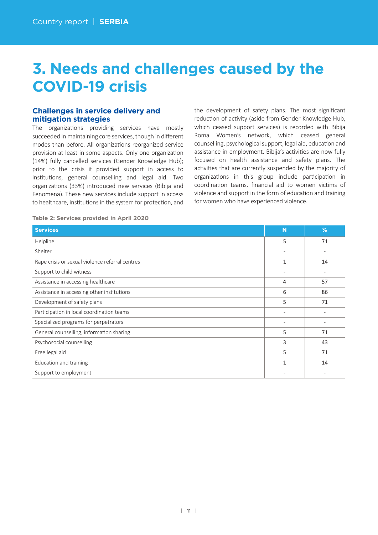# **3. Needs and challenges caused by the COVID-19 crisis**

# **Challenges in service delivery and mitigation strategies**

The organizations providing services have mostly succeeded in maintaining core services, though in different modes than before. All organizations reorganized service provision at least in some aspects. Only one organization (14%) fully cancelled services (Gender Knowledge Hub); prior to the crisis it provided support in access to institutions, general counselling and legal aid. Two organizations (33%) introduced new services (Bibija and Fenomena). These new services include support in access to healthcare, institutions in the system for protection, and the development of safety plans. The most significant reduction of activity (aside from Gender Knowledge Hub, which ceased support services) is recorded with Bibija Roma Women's network, which ceased general counselling, psychological support, legal aid, education and assistance in employment. Bibija's activities are now fully focused on health assistance and safety plans. The activities that are currently suspended by the majority of organizations in this group include participation in coordination teams, financial aid to women victims of violence and support in the form of education and training for women who have experienced violence.

**Table 2: Services provided in April 2020**

| <b>Services</b>                                 | N            | %  |
|-------------------------------------------------|--------------|----|
| Helpline                                        | 5            | 71 |
| Shelter                                         |              |    |
| Rape crisis or sexual violence referral centres | $\mathbf{1}$ | 14 |
| Support to child witness                        |              |    |
| Assistance in accessing healthcare              | 4            | 57 |
| Assistance in accessing other institutions      | 6            | 86 |
| Development of safety plans                     | 5            | 71 |
| Participation in local coordination teams       |              |    |
| Specialized programs for perpetrators           |              |    |
| General counselling, information sharing        | 5            | 71 |
| Psychosocial counselling                        | 3            | 43 |
| Free legal aid                                  | 5            | 71 |
| Education and training                          | 1            | 14 |
| Support to employment                           |              |    |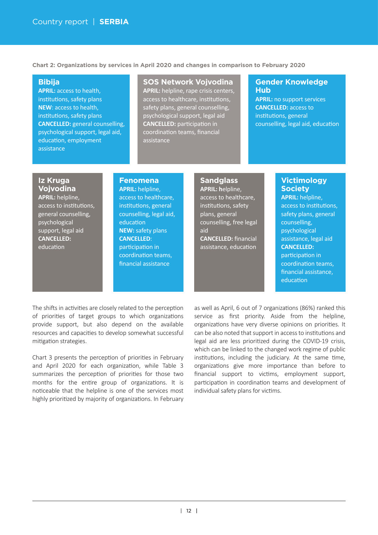**Chart 2: Organizations by services in April 2020 and changes in comparison to February 2020**

## **Bibija**

**APRIL:** access to health, institutions, safety plans **NEW**: access to health, institutions, safety plans **CANCELLED:** general counselling, psychological support, legal aid, education, employment assistance

### **SOS Network Vojvodina**

**APRIL:** helpline, rape crisis centers, access to healthcare, institutions, safety plans, general counselling, psychological support, legal aid **CANCELLED:** participation in coordination teams, financial assistance

### **Gender Knowledge Hub**

**APRIL:** no support services **CANCELLED:** access to institutions, general counselling, legal aid, education

# **Iz Kruga Vojvodina**

**APRIL:** helpline, access to institutions. general counselling, psychological support, legal aid **CANCELLED:** education

## **Fenomena**

**APRIL:** helpline, access to healthcare, institutions, general counselling, legal aid, education **NEW:** safety plans **CANCELLED**: participation in coordination teams. financial assistance

## **Sandglass**

**APRIL: h**elpline, access to healthcare, institutions, safety plans, general counselling, free legal aid **CANCELLED:** financial assistance, education

## **Victimology Society**

**APRIL:** helpline, access to institutions. safety plans, general counselling, psychological assistance, legal aid **CANCELLED:** participation in coordination teams, financial assistance, education

The shifts in activities are closely related to the perception of priorities of target groups to which organizations provide support, but also depend on the available resources and capaci�es to develop somewhat successful mitigation strategies.

Chart 3 presents the perception of priorities in February and April 2020 for each organization, while Table 3 summarizes the perception of priorities for those two months for the entire group of organizations. It is noticeable that the helpline is one of the services most highly prioritized by majority of organizations. In February as well as April, 6 out of 7 organizations (86%) ranked this service as first priority. Aside from the helpline, organizations have very diverse opinions on priorities. It can be also noted that support in access to institutions and legal aid are less prioritized during the COVID-19 crisis, which can be linked to the changed work regime of public institutions, including the judiciary. At the same time, organizations give more importance than before to financial support to victims, employment support, participation in coordination teams and development of individual safety plans for victims.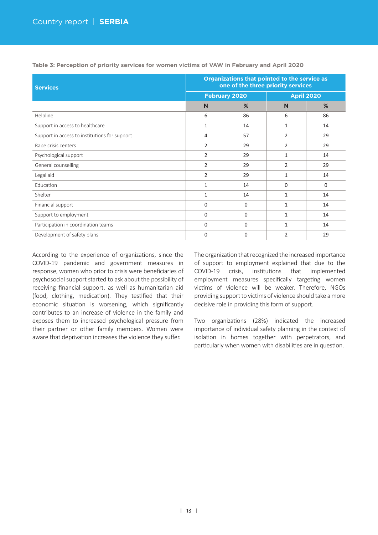| <b>Services</b>                               | Organizations that pointed to the service as<br>one of the three priority services |                      |                |                   |  |  |  |
|-----------------------------------------------|------------------------------------------------------------------------------------|----------------------|----------------|-------------------|--|--|--|
|                                               |                                                                                    | <b>February 2020</b> |                | <b>April 2020</b> |  |  |  |
|                                               | N                                                                                  | %                    | N              | %                 |  |  |  |
| Helpline                                      | 6                                                                                  | 86                   | 6              | 86                |  |  |  |
| Support in access to healthcare               | 1                                                                                  | 14                   | 1              | 14                |  |  |  |
| Support in access to institutions for support | 4                                                                                  | 57                   | 2              | 29                |  |  |  |
| Rape crisis centers                           | $\overline{2}$                                                                     | 29                   | 2              | 29                |  |  |  |
| Psychological support                         | $\overline{2}$                                                                     | 29                   | $\mathbf{1}$   | 14                |  |  |  |
| General counselling                           | 2                                                                                  | 29                   | $\overline{2}$ | 29                |  |  |  |
| Legal aid                                     | 2                                                                                  | 29                   | 1              | 14                |  |  |  |
| Education                                     | 1                                                                                  | 14                   | $\mathbf 0$    | $\Omega$          |  |  |  |
| Shelter                                       | 1                                                                                  | 14                   | 1              | 14                |  |  |  |
| Financial support                             | $\Omega$                                                                           | $\Omega$             | $\mathbf{1}$   | 14                |  |  |  |
| Support to employment                         | 0                                                                                  | 0                    | 1              | 14                |  |  |  |
| Participation in coordination teams           | $\Omega$                                                                           | $\Omega$             | 1              | 14                |  |  |  |
| Development of safety plans                   | $\Omega$                                                                           | $\Omega$             | $\overline{2}$ | 29                |  |  |  |

**Table 3: Perception of priority services for women victims of VAW in February and April 2020**

According to the experience of organizations, since the COVID-19 pandemic and government measures in response, women who prior to crisis were beneficiaries of psychosocial support started to ask about the possibility of receiving financial support, as well as humanitarian aid (food, clothing, medication). They testified that their economic situation is worsening, which significantly contributes to an increase of violence in the family and exposes them to increased psychological pressure from their partner or other family members. Women were aware that deprivation increases the violence they suffer.

The organization that recognized the increased importance of support to employment explained that due to the COVID-19 crisis, institutions that implemented employment measures specifically targeting women victims of violence will be weaker. Therefore, NGOs providing support to victims of violence should take a more decisive role in providing this form of support.

Two organizations (28%) indicated the increased importance of individual safety planning in the context of isolation in homes together with perpetrators, and particularly when women with disabilities are in question.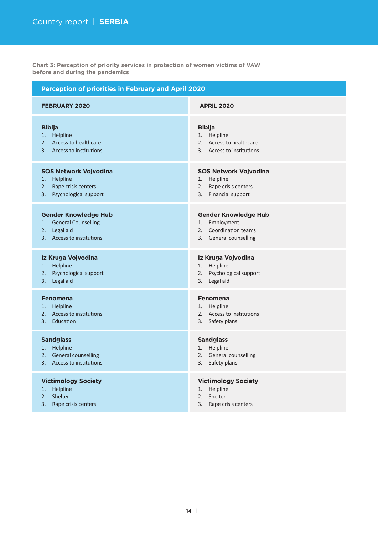**Chart 3: Perception of priority services in protection of women victims of VAW before and during the pandemics**

| <b>Perception of priorities in February and April 2020</b>                                                                |                                                                                                              |  |  |  |  |  |
|---------------------------------------------------------------------------------------------------------------------------|--------------------------------------------------------------------------------------------------------------|--|--|--|--|--|
| <b>FEBRUARY 2020</b>                                                                                                      | <b>APRIL 2020</b>                                                                                            |  |  |  |  |  |
| <b>Bibija</b><br>1. Helpline<br>2. Access to healthcare<br>3. Access to institutions                                      | <b>Bibija</b><br>Helpline<br>1.<br>2. Access to healthcare<br>3. Access to institutions                      |  |  |  |  |  |
| <b>SOS Network Vojvodina</b><br>1.<br>Helpline<br>Rape crisis centers<br>2.<br>Psychological support<br>3.                | <b>SOS Network Vojvodina</b><br>Helpline<br>1.<br>Rape crisis centers<br>2.<br>3. Financial support          |  |  |  |  |  |
| <b>Gender Knowledge Hub</b><br><b>General Counselling</b><br>1.<br>2.<br>Legal aid<br><b>Access to institutions</b><br>3. | <b>Gender Knowledge Hub</b><br>Employment<br>1.<br><b>Coordination teams</b><br>2.<br>3. General counselling |  |  |  |  |  |
| Iz Kruga Vojvodina<br>Helpline<br>1.<br>Psychological support<br>2.<br>Legal aid<br>3.                                    | Iz Kruga Vojvodina<br>Helpline<br>1.<br>Psychological support<br>2.<br>3.<br>Legal aid                       |  |  |  |  |  |
| <b>Fenomena</b><br>Helpline<br>1.<br>Access to institutions<br>2.<br>Education<br>3.                                      | <b>Fenomena</b><br>Helpline<br>1.<br>2. Access to institutions<br>Safety plans<br>3.                         |  |  |  |  |  |
| <b>Sandglass</b><br>1. Helpline<br>2. General counselling<br>3. Access to institutions                                    | <b>Sandglass</b><br>Helpline<br>1.<br>2. General counselling<br>3.<br>Safety plans                           |  |  |  |  |  |
| <b>Victimology Society</b><br>Helpline<br>1.<br>Shelter<br>2.<br>3.<br>Rape crisis centers                                | <b>Victimology Society</b><br>Helpline<br>1.<br>2.<br>Shelter<br>3.<br>Rape crisis centers                   |  |  |  |  |  |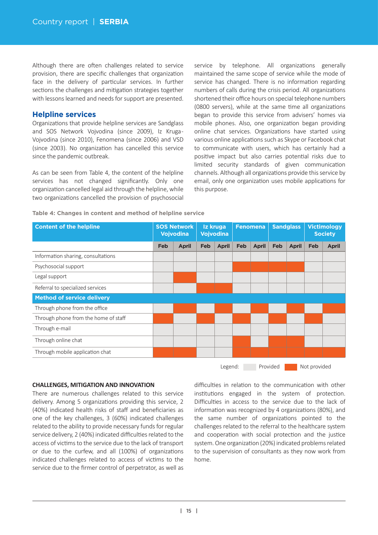Although there are often challenges related to service provision, there are specific challenges that organization face in the delivery of particular services. In further sections the challenges and mitigation strategies together with lessons learned and needs for support are presented.

### **Helpline services**

Organizations that provide helpline services are Sandglass and SOS Network Vojvodina (since 2009), Iz Kruga-Vojvodina (since 2010), Fenomena (since 2006) and VSD (since 2003). No organization has cancelled this service since the pandemic outbreak.

As can be seen from Table 4, the content of the helpline services has not changed significantly. Only one organization cancelled legal aid through the helpline, while two organizations cancelled the provision of psychosocial

service by telephone. All organizations generally maintained the same scope of service while the mode of service has changed. There is no information regarding numbers of calls during the crisis period. All organizations shortened their office hours on special telephone numbers (0800 servers), while at the same time all organizations began to provide this service from advisers' homes via mobile phones. Also, one organization began providing online chat services. Organizations have started using various online applications such as Skype or Facebook chat to communicate with users, which has certainly had a positive impact but also carries potential risks due to limited security standards of given communication channels. Although all organizations provide this service by email, only one organization uses mobile applications for this purpose.

#### **Table 4: Changes in content and method of helpline service**

| <b>SOS Network</b><br><b>Vojvodina</b> |              | Iz kruga<br>Vojvodina |              | <b>Fenomena</b> |              | <b>Sandglass</b> |              | <b>Victimology</b><br><b>Society</b> |              |
|----------------------------------------|--------------|-----------------------|--------------|-----------------|--------------|------------------|--------------|--------------------------------------|--------------|
| Feb                                    | <b>April</b> | Feb                   | <b>April</b> | Feb             | <b>April</b> | Feb              | <b>April</b> | Feb                                  | <b>April</b> |
|                                        |              |                       |              |                 |              |                  |              |                                      |              |
|                                        |              |                       |              |                 |              |                  |              |                                      |              |
|                                        |              |                       |              |                 |              |                  |              |                                      |              |
|                                        |              |                       |              |                 |              |                  |              |                                      |              |
|                                        |              |                       |              |                 |              |                  |              |                                      |              |
|                                        |              |                       |              |                 |              |                  |              |                                      |              |
|                                        |              |                       |              |                 |              |                  |              |                                      |              |
|                                        |              |                       |              |                 |              |                  |              |                                      |              |
|                                        |              |                       |              |                 |              |                  |              |                                      |              |
|                                        |              |                       |              |                 |              |                  |              |                                      |              |
|                                        |              |                       |              |                 |              |                  |              |                                      |              |

Legend: Provided Not provided

#### **CHALLENGES, MITIGATION AND INNOVATION**

There are numerous challenges related to this service delivery. Among 5 organizations providing this service, 2 (40%) indicated health risks of staff and beneficiaries as one of the key challenges, 3 (60%) indicated challenges related to the ability to provide necessary funds for regular service delivery, 2 (40%) indicated difficulties related to the access of victims to the service due to the lack of transport or due to the curfew, and all (100%) of organizations indicated challenges related to access of victims to the service due to the firmer control of perpetrator, as well as

difficulties in relation to the communication with other institutions engaged in the system of protection. Difficulties in access to the service due to the lack of information was recognized by 4 organizations (80%), and the same number of organizations pointed to the challenges related to the referral to the healthcare system and cooperation with social protection and the justice system. One organization (20%) indicated problems related to the supervision of consultants as they now work from home.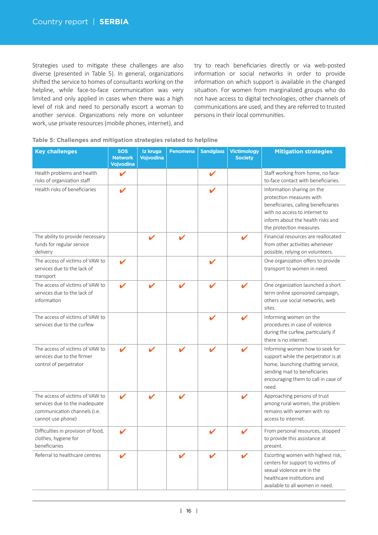Strategies used to mitigate these challenges are also diverse (presented in Table 5). In general, organizations shifted the service to homes of consultants working on the helpline, while face-to-face communication was very limited and only applied in cases when there was a high level of risk and need to personally escort a woman to another service. Organizations rely more on volunteer work, use private resources (mobile phones, internet), and try to reach beneficiaries directly or via web-posted information or social networks in order to provide information on which support is available in the changed situation. For women from marginalized groups who do not have access to digital technologies, other channels of communications are used, and they are referred to trusted persons in their local communities.

| Table 5: Challenges and mitigation strategies related to helpline |  |  |  |
|-------------------------------------------------------------------|--|--|--|

| <b>Key challenges</b>                                                                                                  | <b>SOS</b><br><b>Network</b><br><b>Vojvodina</b> | Iz kruga<br>Vojvodina | <b>Fenomena</b> | <b>Sandglass</b> | <b>Victimology</b><br><b>Society</b> | <b>Mitigation strategies</b>                                                                                                                                                                     |
|------------------------------------------------------------------------------------------------------------------------|--------------------------------------------------|-----------------------|-----------------|------------------|--------------------------------------|--------------------------------------------------------------------------------------------------------------------------------------------------------------------------------------------------|
| Health problems and health<br>risks of organization staff                                                              | v                                                |                       |                 | V                |                                      | Staff working from home, no face-<br>to-face contact with beneficiaries.                                                                                                                         |
| Health risks of beneficiaries                                                                                          | ı                                                |                       |                 |                  |                                      | Information sharing on the<br>protection measures with<br>beneficiaries, calling beneficiaries<br>with no access to internet to<br>inform about the health risks and<br>the protection measures. |
| The ability to provide necessary<br>funds for regular service<br>delivery                                              |                                                  |                       |                 |                  |                                      | Financial resources are reallocated<br>from other activities whenever<br>possible, relying on volunteers.                                                                                        |
| The access of victims of VAW to<br>services due to the lack of<br>transport                                            |                                                  |                       |                 | v                |                                      | One organization offers to provide<br>transport to women in need.                                                                                                                                |
| The access of victims of VAW to<br>services due to the lack of<br>information                                          | V                                                |                       |                 |                  |                                      | One organization launched a short<br>term online sponsored campaign,<br>others use social networks, web<br>sites.                                                                                |
| The access of victims of VAW to<br>services due to the curfew                                                          |                                                  |                       |                 |                  |                                      | Informing women on the<br>procedures in case of violence<br>during the curfew, particularly if<br>there is no internet.                                                                          |
| The access of victims of VAW to<br>services due to the firmer<br>control of perpetrator                                |                                                  |                       |                 |                  |                                      | Informing women how to seek for<br>support while the perpetrator is at<br>home, launching chatting service,<br>sending mail to beneficiaries<br>encouraging them to call in case of<br>need.     |
| The access of victims of VAW to<br>services due to the inadequate<br>communication channels (i.e.<br>cannot use phone) |                                                  |                       |                 |                  | ✔                                    | Approaching persons of trust<br>among rural women, the problem<br>remains with women with no<br>access to internet.                                                                              |
| Difficulties in provision of food,<br>clothes, hygiene for<br>beneficiaries                                            |                                                  |                       |                 |                  |                                      | From personal resources, stopped<br>to provide this assistance at<br>present.                                                                                                                    |
| Referral to healthcare centres                                                                                         | V                                                |                       |                 |                  | V                                    | Escorting women with highest risk,<br>centers for support to victims of<br>sexual violence are in the<br>healthcare institutions and<br>available to all women in need.                          |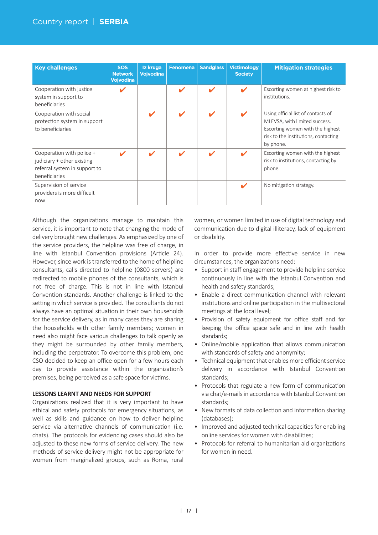| <b>Key challenges</b>                                                                                     | <b>SOS</b><br><b>Network</b><br><b>Vojvodina</b> | Iz kruga<br><b>Vojvodina</b> | <b>Fenomena</b> | <b>Sandglass</b> | <b>Victimology</b><br><b>Society</b> | <b>Mitigation strategies</b>                                                                                                                                 |
|-----------------------------------------------------------------------------------------------------------|--------------------------------------------------|------------------------------|-----------------|------------------|--------------------------------------|--------------------------------------------------------------------------------------------------------------------------------------------------------------|
| Cooperation with justice<br>system in support to<br>beneficiaries                                         |                                                  |                              |                 | ✔                | V                                    | Escorting women at highest risk to<br>institutions.                                                                                                          |
| Cooperation with social<br>protection system in support<br>to beneficiaries                               |                                                  | V                            | J               | ✔                | ✔                                    | Using official list of contacts of<br>MLEVSA, with limited success.<br>Escorting women with the highest<br>risk to the institutions, contacting<br>by phone. |
| Cooperation with police +<br>judiciary + other existing<br>referral system in support to<br>beneficiaries |                                                  | ✔                            |                 | V                | V                                    | Escorting women with the highest<br>risk to institutions, contacting by<br>phone.                                                                            |
| Supervision of service<br>providers is more difficult<br>now                                              |                                                  |                              |                 |                  | ✔                                    | No mitigation strategy.                                                                                                                                      |

Although the organizations manage to maintain this service, it is important to note that changing the mode of delivery brought new challenges. As emphasized by one of the service providers, the helpline was free of charge, in line with Istanbul Convention provisions (Article 24). However, since work is transferred to the home of helpline consultants, calls directed to helpline (0800 servers) are redirected to mobile phones of the consultants, which is not free of charge. This is not in line with Istanbul Convention standards. Another challenge is linked to the setting in which service is provided. The consultants do not always have an optimal situation in their own households for the service delivery, as in many cases they are sharing the households with other family members; women in need also might face various challenges to talk openly as they might be surrounded by other family members, including the perpetrator. To overcome this problem, one CSO decided to keep an office open for a few hours each day to provide assistance within the organization's premises, being perceived as a safe space for victims.

### **LESSONS LEARNT AND NEEDS FOR SUPPORT**

Organizations realized that it is very important to have ethical and safety protocols for emergency situations, as well as skills and guidance on how to deliver helpline service via alternative channels of communication (i.e. chats). The protocols for evidencing cases should also be adjusted to these new forms of service delivery. The new methods of service delivery might not be appropriate for women from marginalized groups, such as Roma, rural women, or women limited in use of digital technology and communication due to digital illiteracy, lack of equipment or disability.

In order to provide more effective service in new circumstances, the organizations need:

- Support in staff engagement to provide helpline service continuously in line with the Istanbul Convention and health and safety standards;
- Enable a direct communication channel with relevant institutions and online participation in the multisectoral meetings at the local level;
- Provision of safety equipment for office staff and for keeping the office space safe and in line with health standards;
- Online/mobile application that allows communication with standards of safety and anonymity;
- Technical equipment that enables more efficient service delivery in accordance with Istanbul Convention standards;
- Protocols that regulate a new form of communication via chat/e-mails in accordance with Istanbul Convention standards;
- New formats of data collection and information sharing (databases);
- Improved and adjusted technical capacities for enabling online services for women with disabilities:
- Protocols for referral to humanitarian aid organizations for women in need.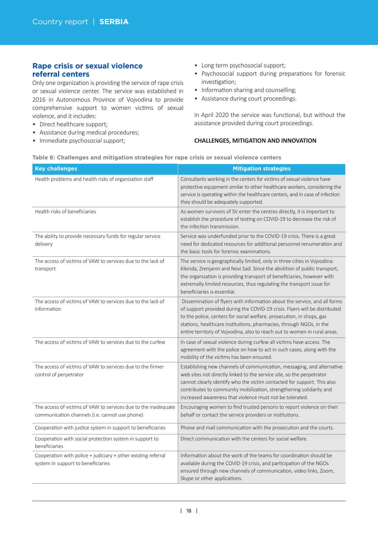# **Rape crisis or sexual violence referral centers**

Only one organization is providing the service of rape crisis or sexual violence center. The service was established in 2016 in Autonomous Province of Vojvodina to provide comprehensive support to women victims of sexual violence, and it includes:

- Direct healthcare support;
- Assistance during medical procedures;
- Immediate psychosocial support;
- Long term psychosocial support;
- Psychosocial support during preparations for forensic investigation;
- Information sharing and counselling;
- Assistance during court proceedings.

In April 2020 the service was functional, but without the assistance provided during court proceedings.

#### **CHALLENGES, MITIGATION AND INNOVATION**

|  |  |  | Table 6: Challenges and mitigation strategies for rape crisis or sexual violence centers |  |
|--|--|--|------------------------------------------------------------------------------------------|--|
|  |  |  |                                                                                          |  |

| <b>Key challenges</b>                                                                                            | <b>Mitigation strategies</b>                                                                                                                                                                                                                                                                                                                                                         |
|------------------------------------------------------------------------------------------------------------------|--------------------------------------------------------------------------------------------------------------------------------------------------------------------------------------------------------------------------------------------------------------------------------------------------------------------------------------------------------------------------------------|
| Health problems and health risks of organization staff                                                           | Consultants working in the centers for victims of sexual violence have<br>protective equipment similar to other healthcare workers, considering the<br>service is operating within the healthcare centers, and in case of infection<br>they should be adequately supported.                                                                                                          |
| Health risks of beneficiaries                                                                                    | As women survivors of SV enter the centres directly, it is important to<br>establish the procedure of testing on COVID-19 to decrease the risk of<br>the infection transmission.                                                                                                                                                                                                     |
| The ability to provide necessary funds for regular service<br>delivery                                           | Service was underfunded prior to the COVID-19 crisis. There is a great<br>need for dedicated resources for additional personnel renumeration and<br>the basic tools for forensic examinations.                                                                                                                                                                                       |
| The access of victims of VAW to services due to the lack of<br>transport                                         | The service is geographically limited, only in three cities in Vojvodina:<br>Kikinda, Zrenjanin and Novi Sad. Since the abolition of public transport,<br>the organization is providing transport of beneficiaries, however with<br>extremally limited resources, thus regulating the transport issue for<br>beneficiaries is essential.                                             |
| The access of victims of VAW to services due to the lack of<br>information                                       | Dissemination of flyers with information about the service, and all forms<br>of support provided during the COVID-19 crisis. Flyers will be distributed<br>to the police, centers for social welfare, prosecution, in shops, gas<br>stations, healthcare institutions, pharmacies, through NGOs, in the<br>entire territory of Vojvodina, also to reach out to women in rural areas. |
| The access of victims of VAW to services due to the curfew                                                       | In case of sexual violence during curfew all victims have access. The<br>agreement with the police on how to act in such cases, along with the<br>mobility of the victims has been ensured.                                                                                                                                                                                          |
| The access of victims of VAW to services due to the firmer<br>control of perpetrator                             | Establishing new channels of communication, messaging, and alternative<br>web sites not directly linked to the service site, so the perpetrator<br>cannot clearly identify who the victim contacted for support. This also<br>contributes to community mobilization, strengthening solidarity and<br>increased awareness that violence must not be tolerated.                        |
| The access of victims of VAW to services due to the inadequate<br>communication channels (i.e. cannot use phone) | Encouraging women to find trusted persons to report violence on their<br>behalf or contact the service providers or institutions.                                                                                                                                                                                                                                                    |
| Cooperation with justice system in support to beneficiaries                                                      | Phone and mail communication with the prosecution and the courts.                                                                                                                                                                                                                                                                                                                    |
| Cooperation with social protection system in support to<br>beneficiaries                                         | Direct communication with the centers for social welfare.                                                                                                                                                                                                                                                                                                                            |
| Cooperation with police + judiciary + other existing referral<br>system in support to beneficiaries              | Information about the work of the teams for coordination should be<br>available during the COVID-19 crisis, and participation of the NGOs<br>ensured through new channels of communication, video links, Zoom,<br>Skype or other applications.                                                                                                                                       |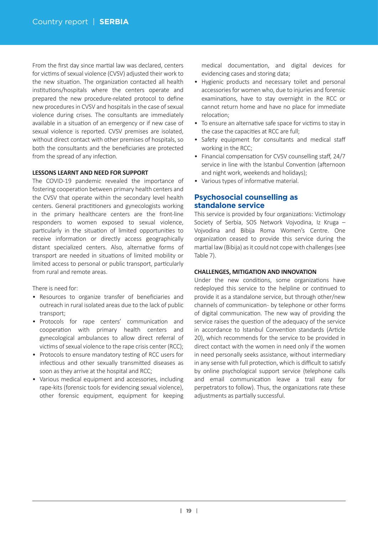From the first day since martial law was declared, centers for victims of sexual violence (CVSV) adjusted their work to the new situation. The organization contacted all health institutions/hospitals where the centers operate and prepared the new procedure-related protocol to define new procedures in CVSV and hospitals in the case of sexual violence during crises. The consultants are immediately available in a situation of an emergency or if new case of sexual violence is reported. CVSV premises are isolated, without direct contact with other premises of hospitals, so both the consultants and the beneficiaries are protected from the spread of any infection.

#### **LESSONS LEARNT AND NEED FOR SUPPORT**

The COVID-19 pandemic revealed the importance of fostering cooperation between primary health centers and the CVSV that operate within the secondary level health centers. General practitioners and gynecologists working in the primary healthcare centers are the front-line responders to women exposed to sexual violence, particularly in the situation of limited opportunities to receive information or directly access geographically distant specialized centers. Also, alternative forms of transport are needed in situations of limited mobility or limited access to personal or public transport, particularly from rural and remote areas.

There is need for:

- Resources to organize transfer of beneficiaries and outreach in rural isolated areas due to the lack of public transport;
- Protocols for rape centers' communication and cooperation with primary health centers and gynecological ambulances to allow direct referral of victims of sexual violence to the rape crisis center (RCC);
- Protocols to ensure mandatory testing of RCC users for infectious and other sexually transmitted diseases as soon as they arrive at the hospital and RCC;
- Various medical equipment and accessories, including rape-kits (forensic tools for evidencing sexual violence), other forensic equipment, equipment for keeping

medical documentation, and digital devices for evidencing cases and storing data;

- Hygienic products and necessary toilet and personal accessories for women who, due to injuries and forensic examinations, have to stay overnight in the RCC or cannot return home and have no place for immediate relocation;
- To ensure an alternative safe space for victims to stay in the case the capacities at RCC are full;
- Safety equipment for consultants and medical staff working in the RCC;
- Financial compensation for CVSV counselling staff, 24/7 service in line with the Istanbul Convention (afternoon and night work, weekends and holidays);
- Various types of informative material.

# **Psychosocial counselling as standalone service**

This service is provided by four organizations: Victimology Society of Serbia, SOS Network Vojvodina, Iz Kruga – Vojvodina and Bibija Roma Women's Centre. One organization ceased to provide this service during the martial law (Bibija) as it could not cope with challenges (see Table 7).

### **CHALLENGES, MITIGATION AND INNOVATION**

Under the new conditions, some organizations have redeployed this service to the helpline or continued to provide it as a standalone service, but through other/new channels of communication- by telephone or other forms of digital communication. The new way of providing the service raises the question of the adequacy of the service in accordance to Istanbul Convention standards (Article 20), which recommends for the service to be provided in direct contact with the women in need only if the women in need personally seeks assistance, without intermediary in any sense with full protection, which is difficult to satisfy by online psychological support service (telephone calls and email communication leave a trail easy for perpetrators to follow). Thus, the organizations rate these adjustments as partially successful.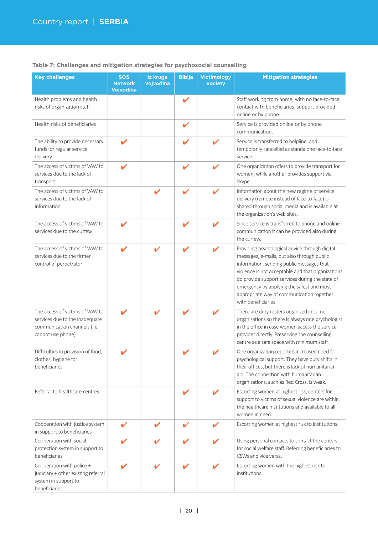| <b>Key challenges</b>                                                                                                  | <b>SOS</b><br><b>Network</b><br>Vojvodina | Iz kruga<br>Vojvodina | <b>Bibija</b> | <b>Victimology</b><br><b>Society</b>                                                                    | <b>Mitigation strategies</b>                                                                                                                                                                                                                                                                                                                                       |  |  |
|------------------------------------------------------------------------------------------------------------------------|-------------------------------------------|-----------------------|---------------|---------------------------------------------------------------------------------------------------------|--------------------------------------------------------------------------------------------------------------------------------------------------------------------------------------------------------------------------------------------------------------------------------------------------------------------------------------------------------------------|--|--|
| Health problems and health<br>risks of organization staff                                                              |                                           |                       | V             |                                                                                                         | Staff working from home, with no face-to-face<br>contact with beneficiaries, support provided<br>online or by phone.                                                                                                                                                                                                                                               |  |  |
| Health risks of beneficiaries                                                                                          |                                           |                       | V             |                                                                                                         | Service is provided online or by phone<br>communication.                                                                                                                                                                                                                                                                                                           |  |  |
| The ability to provide necessary<br>funds for regular service<br>delivery                                              | ✔                                         |                       | V             | Service is transferred to helpline, and<br>temporarily cancelled as standalone face-to-face<br>service. |                                                                                                                                                                                                                                                                                                                                                                    |  |  |
| The access of victims of VAW to<br>services due to the lack of<br>transport                                            |                                           |                       | V             |                                                                                                         | One organization offers to provide transport for<br>women, while another provides support via<br>Skype.                                                                                                                                                                                                                                                            |  |  |
| The access of victims of VAW to<br>services due to the lack of<br>information                                          |                                           | v                     | V             |                                                                                                         | Information about the new regime of service<br>delivery (remote instead of face-to-face) is<br>shared through social media and is available at<br>the organization's web sites.                                                                                                                                                                                    |  |  |
| The access of victims of VAW to<br>services due to the curfew                                                          |                                           |                       | V             |                                                                                                         | Since service is transferred to phone and online<br>communication it can be provided also during<br>the curfew.                                                                                                                                                                                                                                                    |  |  |
| The access of victims of VAW to<br>services due to the firmer<br>control of perpetrator                                | ✔                                         | V                     | V             |                                                                                                         | Providing psychological advice through digital<br>messages, e-mails, but also through public<br>information, sending public messages that<br>violence is not acceptable and that organizations<br>do provide support services during the state of<br>emergency by applying the safest and most<br>appropriate way of communication together<br>with beneficiaries. |  |  |
| The access of victims of VAW to<br>services due to the inadequate<br>communication channels (i.e.<br>cannot use phone) | v                                         |                       | V             |                                                                                                         | There are duty rosters organized in some<br>organizations so there is always one psychologist<br>in the office in case women access the service<br>provider directly. Preserving the counselling<br>centre as a safe space with minimum staff.                                                                                                                     |  |  |
| Difficulties in provision of food,<br>clothes, hygiene for<br>beneficiaries                                            |                                           |                       | V             |                                                                                                         | One organization reported increased need for<br>psychological support. They have duty shifts in<br>their offices, but there is lack of humanitarian<br>aid. The connection with humanitarian<br>organizations, such as Red Cross, is weak.                                                                                                                         |  |  |
| Referral to healthcare centres                                                                                         |                                           |                       | V             |                                                                                                         | Escorting women at highest risk, centers for<br>support to victims of sexual violence are within<br>the healthcare institutions and available to all<br>women in need.                                                                                                                                                                                             |  |  |
| Cooperation with justice system<br>in support to beneficiaries                                                         | V                                         |                       | $\checkmark$  |                                                                                                         | Escorting women at highest risk to institutions.                                                                                                                                                                                                                                                                                                                   |  |  |
| Cooperation with social<br>protection system in support to<br>beneficiaries                                            | V                                         |                       | V             |                                                                                                         | Using personal contacts to contact the centers<br>for social welfare staff. Referring beneficiaries to<br>CSWs and vice versa.                                                                                                                                                                                                                                     |  |  |
| Cooperation with police +<br>judiciary + other existing referral<br>system in support to<br>beneficiaries              | ✔                                         | $\mathbf{v}$          | V             |                                                                                                         | Escorting women with the highest risk to<br>institutions.                                                                                                                                                                                                                                                                                                          |  |  |

## **Table 7: Challenges and mitigation strategies for psychosocial counselling**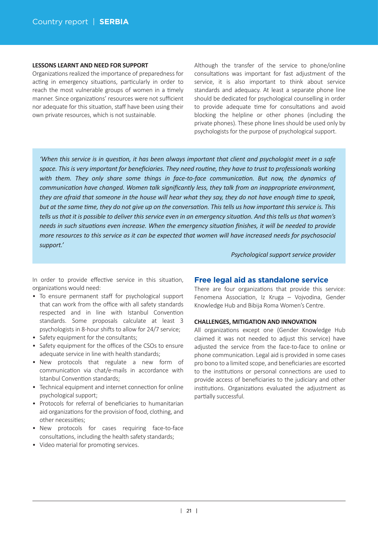#### **LESSONS LEARNT AND NEED FOR SUPPORT**

Organizations realized the importance of preparedness for acting in emergency situations, particularly in order to reach the most vulnerable groups of women in a timely manner. Since organizations' resources were not sufficient nor adequate for this situation, staff have been using their own private resources, which is not sustainable.

Although the transfer of the service to phone/online consultations was important for fast adjustment of the service, it is also important to think about service standards and adequacy. At least a separate phone line should be dedicated for psychological counselling in order to provide adequate time for consultations and avoid blocking the helpline or other phones (including the private phones). These phone lines should be used only by psychologists for the purpose of psychological support.

*'When this service is in ques�on, it has been always important that client and psychologist meet in a safe* space. This is very important for beneficiaries. They need routine, they have to trust to professionals working with them. They only share some things in face-to-face communication. But now, the dynamics of *communication have changed. Women talk significantly less, they talk from an inappropriate environment, they are afraid that someone in the house will hear what they say, they do not have enough �me to speak, but at the same �me, they do not give up on the conversa�on. This tells us how important this service is. This* tells us that it is possible to deliver this service even in an emergency situation. And this tells us that women's *needs in such situa�ons even increase. When the emergency situa�on finishes, it will be needed to provide more resources to this service as it can be expected that women will have increased needs for psychosocial support.'*

*Psychological support service provider*

In order to provide effective service in this situation, organizations would need:

- To ensure permanent staff for psychological support that can work from the office with all safety standards respected and in line with Istanbul Convention standards. Some proposals calculate at least 3 psychologists in 8-hour shifts to allow for 24/7 service;
- Safety equipment for the consultants;
- Safety equipment for the offices of the CSOs to ensure adequate service in line with health standards;
- New protocols that regulate a new form of communication via chat/e-mails in accordance with Istanbul Convention standards;
- Technical equipment and internet connection for online psychological support;
- Protocols for referral of beneficiaries to humanitarian aid organizations for the provision of food, clothing, and other necessities;
- New protocols for cases requiring face-to-face consultations, including the health safety standards;
- Video material for promoting services.

### **Free legal aid as standalone service**

There are four organizations that provide this service: Fenomena Association, Iz Kruga – Vojvodina, Gender Knowledge Hub and Bibija Roma Women's Centre.

#### **CHALLENGES, MITIGATION AND INNOVATION**

All organizations except one (Gender Knowledge Hub claimed it was not needed to adjust this service) have adjusted the service from the face-to-face to online or phone communication. Legal aid is provided in some cases pro bono to a limited scope, and beneficiaries are escorted to the institutions or personal connections are used to provide access of beneficiaries to the judiciary and other institutions. Organizations evaluated the adjustment as partially successful.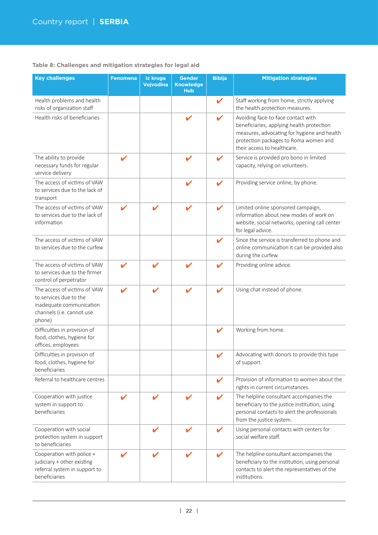## **Table 8: Challenges and mitigation strategies for legal aid**

| <b>Key challenges</b>                                                                                                     | <b>Fenomena</b> | Iz kruga<br>Vojvodina | <b>Gender</b><br><b>Knowledge</b><br><b>Hub</b> | <b>Bibija</b>              | <b>Mitigation strategies</b>                                                                                                                                                                           |  |  |
|---------------------------------------------------------------------------------------------------------------------------|-----------------|-----------------------|-------------------------------------------------|----------------------------|--------------------------------------------------------------------------------------------------------------------------------------------------------------------------------------------------------|--|--|
| Health problems and health<br>risks of organization staff                                                                 |                 |                       |                                                 | $\checkmark$               | Staff working from home, strictly applying<br>the health protection measures.                                                                                                                          |  |  |
| Health risks of beneficiaries                                                                                             |                 |                       |                                                 | $\boldsymbol{\mathscr{L}}$ | Avoiding face-to-face contact with<br>beneficiaries, applying health protection<br>measures, advocating for hygiene and health<br>protection packages to Roma women and<br>their access to healthcare. |  |  |
| The ability to provide<br>necessary funds for regular<br>service delivery                                                 | V               |                       | $\mathbf{v}$                                    | V                          | Service is provided pro bono in limited<br>capacity, relying on volunteers.                                                                                                                            |  |  |
| The access of victims of VAW<br>to services due to the lack of<br>transport                                               |                 |                       |                                                 | V                          | Providing service online, by phone.                                                                                                                                                                    |  |  |
| The access of victims of VAW<br>to services due to the lack of<br>information                                             | v               |                       |                                                 | V                          | Limited online sponsored campaign,<br>information about new modes of work on<br>website, social networks, opening call center<br>for legal advice.                                                     |  |  |
| The access of victims of VAW<br>to services due to the curfew                                                             |                 |                       |                                                 | V                          | Since the service is transferred to phone and<br>online communication it can be provided also<br>during the curfew.                                                                                    |  |  |
| The access of victims of VAW<br>to services due to the firmer<br>control of perpetrator                                   | V               | V                     | V                                               | V                          | Providing online advice.                                                                                                                                                                               |  |  |
| The access of victims of VAW<br>to services due to the<br>inadequate communication<br>channels (i.e. cannot use<br>phone) |                 |                       |                                                 | V                          | Using chat instead of phone.                                                                                                                                                                           |  |  |
| Difficulties in provision of<br>food, clothes, hygiene for<br>offices, employees                                          |                 |                       |                                                 | $\checkmark$               | Working from home.                                                                                                                                                                                     |  |  |
| Difficulties in provision of<br>food, clothes, hygiene for<br>beneficiaries                                               |                 |                       |                                                 |                            | Advocating with donors to provide this type<br>of support.                                                                                                                                             |  |  |
| Referral to healthcare centres                                                                                            |                 |                       |                                                 | V                          | Provision of information to women about the<br>rights in current circumstances.                                                                                                                        |  |  |
| Cooperation with justice<br>system in support to<br>beneficiaries                                                         |                 |                       |                                                 | $\boldsymbol{\mathcal{U}}$ | The helpline consultant accompanies the<br>beneficiary to the justice institution, using<br>personal contacts to alert the professionals<br>from the justice system.                                   |  |  |
| Cooperation with social<br>protection system in support<br>to beneficiaries                                               |                 | ✔                     | ı                                               | V                          | Using personal contacts with centers for<br>social welfare staff.                                                                                                                                      |  |  |
| Cooperation with police +<br>judiciary + other existing<br>referral system in support to<br>beneficiaries                 |                 |                       |                                                 |                            | The helpline consultant accompanies the<br>beneficiary to the institution, using personal<br>contacts to alert the representatives of the<br>institutions.                                             |  |  |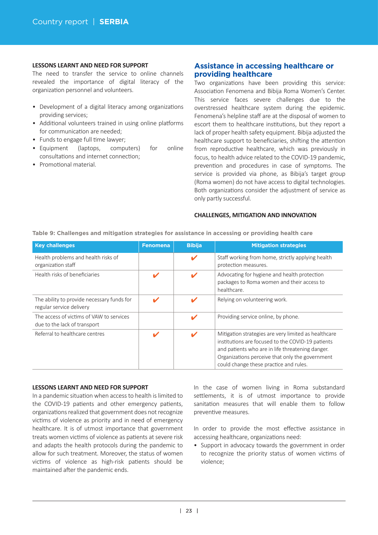#### **LESSONS LEARNT AND NEED FOR SUPPORT**

The need to transfer the service to online channels revealed the importance of digital literacy of the organization personnel and volunteers.

- Development of a digital literacy among organizations providing services;
- Additional volunteers trained in using online platforms for communication are needed:
- Funds to engage full time lawyer;
- Equipment (laptops, computers) for online consultations and internet connection;
- Promotional material.

# **Assistance in accessing healthcare or providing healthcare**

Two organizations have been providing this service: Association Fenomena and Bibija Roma Women's Center. This service faces severe challenges due to the overstressed healthcare system during the epidemic. Fenomena's helpline staff are at the disposal of women to escort them to healthcare institutions, but they report a lack of proper health safety equipment. Bibija adjusted the healthcare support to beneficiaries, shifting the attention from reproductive healthcare, which was previously in focus, to health advice related to the COVID-19 pandemic, prevention and procedures in case of symptoms. The service is provided via phone, as Bibija's target group (Roma women) do not have access to digital technologies. Both organizations consider the adjustment of service as only partly successful.

#### **CHALLENGES, MITIGATION AND INNOVATION**

| <b>Key challenges</b>                                                    | <b>Fenomena</b> | <b>Bibiia</b> | <b>Mitigation strategies</b>                                                                                                                                                                                                                               |
|--------------------------------------------------------------------------|-----------------|---------------|------------------------------------------------------------------------------------------------------------------------------------------------------------------------------------------------------------------------------------------------------------|
| Health problems and health risks of<br>organization staff                |                 | V             | Staff working from home, strictly applying health<br>protection measures.                                                                                                                                                                                  |
| Health risks of beneficiaries                                            |                 |               | Advocating for hygiene and health protection<br>packages to Roma women and their access to<br>healthcare.                                                                                                                                                  |
| The ability to provide necessary funds for<br>regular service delivery   |                 |               | Relying on volunteering work.                                                                                                                                                                                                                              |
| The access of victims of VAW to services<br>due to the lack of transport |                 | v             | Providing service online, by phone.                                                                                                                                                                                                                        |
| Referral to healthcare centres                                           |                 |               | Mitigation strategies are very limited as healthcare<br>institutions are focused to the COVID-19 patients<br>and patients who are in life threatening danger.<br>Organizations perceive that only the government<br>could change these practice and rules. |

**Table 9: Challenges and mitigation strategies for assistance in accessing or providing health care**

#### **LESSONS LEARNT AND NEED FOR SUPPORT**

In a pandemic situation when access to health is limited to the COVID-19 patients and other emergency patients, organizations realized that government does not recognize victims of violence as priority and in need of emergency healthcare. It is of utmost importance that government treats women victims of violence as patients at severe risk and adapts the health protocols during the pandemic to allow for such treatment. Moreover, the status of women victims of violence as high-risk patients should be maintained after the pandemic ends.

In the case of women living in Roma substandard settlements, it is of utmost importance to provide sanitation measures that will enable them to follow preventive measures.

In order to provide the most effective assistance in accessing healthcare, organizations need:

• Support in advocacy towards the government in order to recognize the priority status of women victims of violence;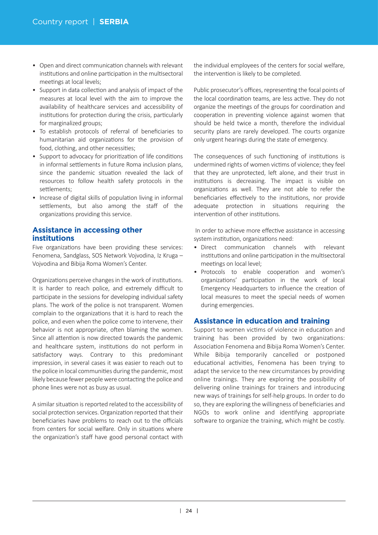- Open and direct communication channels with relevant institutions and online participation in the multisectoral meetings at local levels:
- Support in data collection and analysis of impact of the measures at local level with the aim to improve the availability of healthcare services and accessibility of institutions for protection during the crisis, particularly for marginalized groups;
- To establish protocols of referral of beneficiaries to humanitarian aid organizations for the provision of food, clothing, and other necessities;
- Support to advocacy for prioritization of life conditions in informal settlements in future Roma inclusion plans, since the pandemic situation revealed the lack of resources to follow health safety protocols in the settlements:
- Increase of digital skills of population living in informal settlements, but also among the staff of the organizations providing this service.

# **Assistance in accessing other institutions**

Five organizations have been providing these services: Fenomena, Sandglass, SOS Network Vojvodina, Iz Kruga – Vojvodina and Bibija Roma Women's Center.

Organizations perceive changes in the work of institutions. It is harder to reach police, and extremely difficult to participate in the sessions for developing individual safety plans. The work of the police is not transparent. Women complain to the organizations that it is hard to reach the police, and even when the police come to intervene, their behavior is not appropriate, often blaming the women. Since all attention is now directed towards the pandemic and healthcare system, institutions do not perform in satisfactory ways. Contrary to this predominant impression, in several cases it was easier to reach out to the police in local communities during the pandemic, most likely because fewer people were contacting the police and phone lines were not as busy as usual.

A similar situation is reported related to the accessibility of social protection services. Organization reported that their beneficiaries have problems to reach out to the officials from centers for social welfare. Only in situations where the organization's staff have good personal contact with the individual employees of the centers for social welfare, the intervention is likely to be completed.

Public prosecutor's offices, representing the focal points of the local coordination teams, are less active. They do not organize the meetings of the groups for coordination and cooperation in preventing violence against women that should be held twice a month, therefore the individual security plans are rarely developed. The courts organize only urgent hearings during the state of emergency.

The consequences of such functioning of institutions is undermined rights of women victims of violence; they feel that they are unprotected, left alone, and their trust in institutions is decreasing. The impact is visible on organizations as well. They are not able to refer the beneficiaries effectively to the institutions, nor provide adequate protection in situations requiring the intervention of other institutions.

In order to achieve more effective assistance in accessing system institution, organizations need:

- Direct communication channels with relevant institutions and online participation in the multisectoral meetings on local level;
- Protocols to enable cooperation and women's organizations' participation in the work of local Emergency Headquarters to influence the creation of local measures to meet the special needs of women during emergencies.

## **Assistance in education and training**

Support to women victims of violence in education and training has been provided by two organizations: Association Fenomena and Bibija Roma Women's Center. While Bibija temporarily cancelled or postponed educational activities, Fenomena has been trying to adapt the service to the new circumstances by providing online trainings. They are exploring the possibility of delivering online trainings for trainers and introducing new ways of trainings for self-help groups. In order to do so, they are exploring the willingness of beneficiaries and NGOs to work online and identifying appropriate software to organize the training, which might be costly.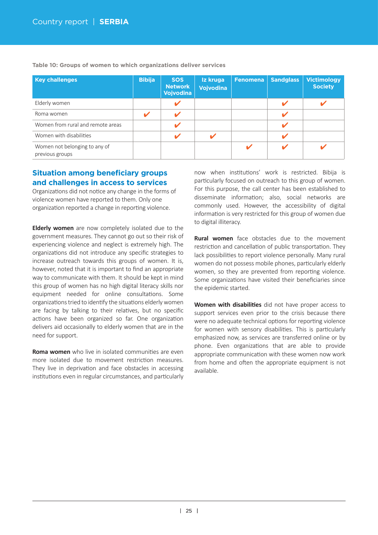| <b>Key challenges</b>                            | <b>Bibija</b> | <b>SOS</b><br><b>Network</b><br>Vojvodina | Iz kruga<br><b>Vojvodina</b> | Fenomena | <b>Sandglass</b> | <b>Victimology</b><br><b>Society</b> |
|--------------------------------------------------|---------------|-------------------------------------------|------------------------------|----------|------------------|--------------------------------------|
| Elderly women                                    |               |                                           |                              |          |                  |                                      |
| Roma women                                       |               |                                           |                              |          |                  |                                      |
| Women from rural and remote areas                |               |                                           |                              |          |                  |                                      |
| Women with disabilities                          |               |                                           |                              |          |                  |                                      |
| Women not belonging to any of<br>previous groups |               |                                           |                              |          |                  |                                      |

**Table 10: Groups of women to which organizations deliver services**

# **Situation among beneficiary groups and challenges in access to services**

Organizations did not notice any change in the forms of violence women have reported to them. Only one organization reported a change in reporting violence.

**Elderly women** are now completely isolated due to the government measures. They cannot go out so their risk of experiencing violence and neglect is extremely high. The organizations did not introduce any specific strategies to increase outreach towards this groups of women. It is, however, noted that it is important to find an appropriate way to communicate with them. It should be kept in mind this group of women has no high digital literacy skills nor equipment needed for online consultations. Some organizations tried to identify the situations elderly women are facing by talking to their relatives, but no specific actions have been organized so far. One organization delivers aid occasionally to elderly women that are in the need for support.

**Roma women** who live in isolated communities are even more isolated due to movement restriction measures. They live in deprivation and face obstacles in accessing institutions even in regular circumstances, and particularly now when institutions' work is restricted. Bibija is particularly focused on outreach to this group of women. For this purpose, the call center has been established to disseminate information; also, social networks are commonly used. However, the accessibility of digital information is very restricted for this group of women due to digital illiteracy.

**Rural women** face obstacles due to the movement restriction and cancellation of public transportation. They lack possibilities to report violence personally. Many rural women do not possess mobile phones, particularly elderly women, so they are prevented from reporting violence. Some organizations have visited their beneficiaries since the epidemic started.

Women with disabilities did not have proper access to support services even prior to the crisis because there were no adequate technical options for reporting violence for women with sensory disabilities. This is particularly emphasized now, as services are transferred online or by phone. Even organizations that are able to provide appropriate communication with these women now work from home and often the appropriate equipment is not available.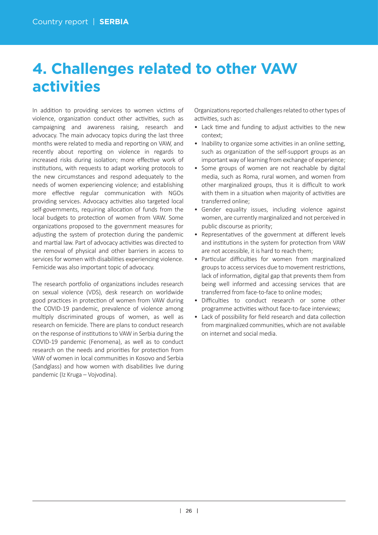# **4. Challenges related to other VAW activities**

In addition to providing services to women victims of violence, organization conduct other activities, such as campaigning and awareness raising, research and advocacy. The main advocacy topics during the last three months were related to media and reporting on VAW, and recently about reporting on violence in regards to increased risks during isolation; more effective work of institutions, with requests to adapt working protocols to the new circumstances and respond adequately to the needs of women experiencing violence; and establishing more effective regular communication with NGOs providing services. Advocacy activities also targeted local self-governments, requiring allocation of funds from the local budgets to protection of women from VAW. Some organizations proposed to the government measures for adjusting the system of protection during the pandemic and martial law. Part of advocacy activities was directed to the removal of physical and other barriers in access to services for women with disabilities experiencing violence. Femicide was also important topic of advocacy.

The research portfolio of organizations includes research on sexual violence (VDS), desk research on worldwide good practices in protection of women from VAW during the COVID-19 pandemic, prevalence of violence among multiply discriminated groups of women, as well as research on femicide. There are plans to conduct research on the response of institutions to VAW in Serbia during the COVID-19 pandemic (Fenomena), as well as to conduct research on the needs and priorities for protection from VAW of women in local communi�es in Kosovo and Serbia (Sandglass) and how women with disabilities live during pandemic (Iz Kruga – Vojvodina).

Organizations reported challenges related to other types of activities, such as:

- Lack time and funding to adjust activities to the new context;
- Inability to organize some activities in an online setting, such as organization of the self-support groups as an important way of learning from exchange of experience;
- Some groups of women are not reachable by digital media, such as Roma, rural women, and women from other marginalized groups, thus it is difficult to work with them in a situation when majority of activities are transferred online;
- Gender equality issues, including violence against women, are currently marginalized and not perceived in public discourse as priority;
- Representatives of the government at different levels and institutions in the system for protection from VAW are not accessible, it is hard to reach them;
- Particular difficulties for women from marginalized groups to access services due to movement restrictions, lack of information, digital gap that prevents them from being well informed and accessing services that are transferred from face-to-face to online modes;
- Difficulties to conduct research or some other programme activities without face-to-face interviews;
- Lack of possibility for field research and data collection from marginalized communities, which are not available on internet and social media.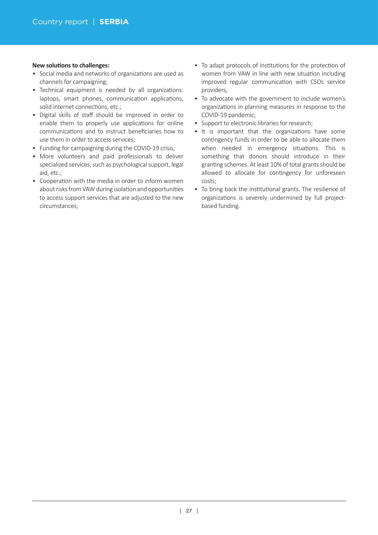### **New solutions to challenges:**

- Social media and networks of organizations are used as channels for campaigning;
- Technical equipment is needed by all organizations: laptops, smart phones, communication applications, solid internet connections, etc.;
- Digital skills of staff should be improved in order to enable them to properly use applications for online communications and to instruct beneficiaries how to use them in order to access services;
- Funding for campaigning during the COVID-19 crisis;
- More volunteers and paid professionals to deliver specialized services, such as psychological support, legal aid, etc.;
- Cooperation with the media in order to inform women about risks from VAW during isolation and opportunities to access support services that are adjusted to the new circumstances;
- To adapt protocols of institutions for the protection of women from VAW in line with new situation including improved regular communication with CSOs service providers;
- To advocate with the government to include women's organizations in planning measures in response to the COVID-19 pandemic;
- Support to electronic libraries for research;
- It is important that the organizations have some contingency funds in order to be able to allocate them when needed in emergency situations. This is something that donors should introduce in their granting schemes. At least 10% of total grants should be allowed to allocate for contingency for unforeseen costs;
- To bring back the institutional grants. The resilience of organizations is severely undermined by full projectbased funding.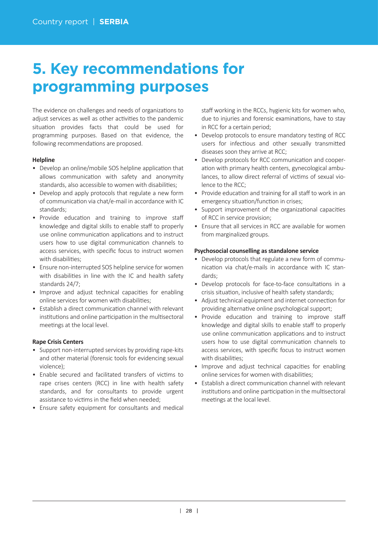# **5. Key recommendations for programming purposes**

The evidence on challenges and needs of organizations to adjust services as well as other activities to the pandemic situation provides facts that could be used for programming purposes. Based on that evidence, the following recommendations are proposed.

## **Helpline**

- Develop an online/mobile SOS helpline application that allows communication with safety and anonymity standards, also accessible to women with disabilities;
- Develop and apply protocols that regulate a new form of communication via chat/e-mail in accordance with IC standards;
- Provide education and training to improve staff knowledge and digital skills to enable staff to properly use online communication applications and to instruct users how to use digital communication channels to access services, with specific focus to instruct women with disabilities;
- Ensure non-interrupted SOS helpline service for women with disabilities in line with the IC and health safety standards 24/7;
- Improve and adjust technical capacities for enabling online services for women with disabilities;
- Establish a direct communication channel with relevant institutions and online participation in the multisectoral meetings at the local level.

## **Rape Crisis Centers**

- Support non-interrupted services by providing rape-kits and other material (forensic tools for evidencing sexual violence);
- Enable secured and facilitated transfers of victims to rape crises centers (RCC) in line with health safety standards, and for consultants to provide urgent assistance to victims in the field when needed:
- Ensure safety equipment for consultants and medical

staff working in the RCCs, hygienic kits for women who, due to injuries and forensic examinations, have to stay in RCC for a certain period;

- Develop protocols to ensure mandatory testing of RCC users for infectious and other sexually transmitted diseases soon they arrive at RCC;
- Develop protocols for RCC communication and cooperation with primary health centers, gynecological ambulances, to allow direct referral of victims of sexual violence to the RCC;
- Provide education and training for all staff to work in an emergency situation/function in crises;
- Support improvement of the organizational capacities of RCC in service provision;
- Ensure that all services in RCC are available for women from marginalized groups.

## **Psychosocial counselling as standalone service**

- Develop protocols that regulate a new form of communication via chat/e-mails in accordance with IC standards;
- Develop protocols for face-to-face consultations in a crisis situation, inclusive of health safety standards;
- Adjust technical equipment and internet connection for providing alternative online psychological support;
- Provide education and training to improve staff knowledge and digital skills to enable staff to properly use online communication applications and to instruct users how to use digital communication channels to access services, with specific focus to instruct women with disabilities;
- Improve and adjust technical capacities for enabling online services for women with disabilities;
- Establish a direct communication channel with relevant institutions and online participation in the multisectoral meetings at the local level.